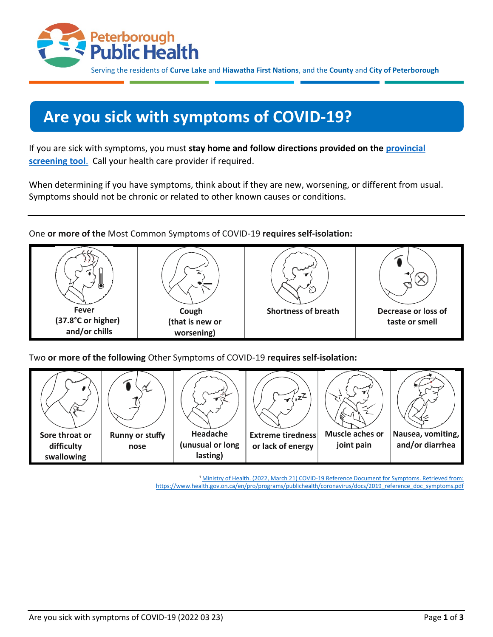

Serving the residents of **Curve Lake** and **Hiawatha First Nations**, and the **County** and **City of Peterborough**

# **Are you sick with symptoms of COVID-19?**

If you are sick with symptoms, you must **stay home and follow directions provided on the [provincial](https://covid-19.ontario.ca/self-assessment/)  [screening tool](https://covid-19.ontario.ca/self-assessment/)**. Call your health care provider if required.

When determining if you have symptoms, think about if they are new, worsening, or different from usual. Symptoms should not be chronic or related to other known causes or conditions.

One **or more of the** Most Common Symptoms of COVID-19 **requires self-isolation:**



Two **or more of the following** Other Symptoms of COVID-19 **requires self-isolation:**



**<sup>1</sup>**[Ministry of Health. \(2022, March 21\) COVID-19 Reference Document for Symptoms. Retrieved from:](file://///fs1/pcchu/COVID_LIAISON%20TEAM/Enforcement%20Team%20Meetings/Team%20Extreme%20communication%20products/Workplaces/Ministry%20of%20Health.%20(2022,%20March%2021)%20COVID-19%20Reference%20Document%20for%20Symptoms.%20Retrieved%20from:%20https:/www.health.gov.on.ca/en/pro/programs/publichealth/coronavirus/docs/2019_reference_doc_symptoms.pdf)  [https://www.health.gov.on.ca/en/pro/programs/publichealth/coronavirus/docs/2019\\_reference\\_doc\\_symptoms.pdf](file://///fs1/pcchu/COVID_LIAISON%20TEAM/Enforcement%20Team%20Meetings/Team%20Extreme%20communication%20products/Workplaces/Ministry%20of%20Health.%20(2022,%20March%2021)%20COVID-19%20Reference%20Document%20for%20Symptoms.%20Retrieved%20from:%20https:/www.health.gov.on.ca/en/pro/programs/publichealth/coronavirus/docs/2019_reference_doc_symptoms.pdf)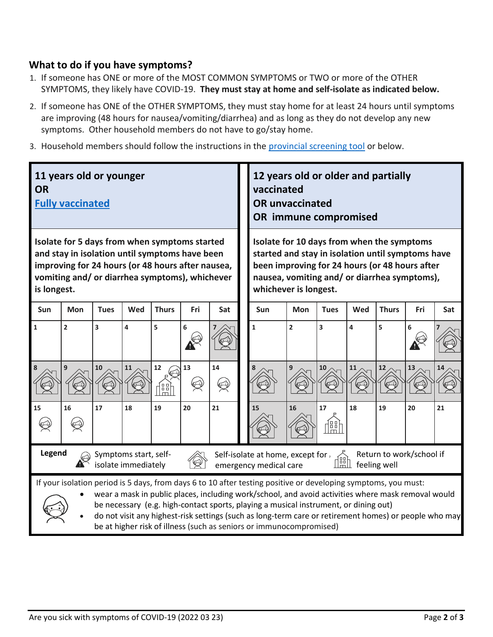# **What to do if you have symptoms?**

- 1. If someone has ONE or more of the MOST COMMON SYMPTOMS or TWO or more of the OTHER SYMPTOMS, they likely have COVID-19. **They must stay at home and self-isolate as indicated below.**
- 2. If someone has ONE of the OTHER SYMPTOMS, they must stay home for at least 24 hours until symptoms are improving (48 hours for nausea/vomiting/diarrhea) and as long as they do not develop any new symptoms. Other household members do not have to go/stay home.
- 3. Household members should follow the instructions in the [provincial screening tool](https://covid-19.ontario.ca/self-assessment/) or below.

| 11 years old or younger<br><b>OR</b><br><b>Fully vaccinated</b>                                                                                                                                                       |                                                                                                                                                                                                                                                                                                                                                                                                                                                                                              |             |     |                       |     |         |  | 12 years old or older and partially<br>vaccinated<br><b>OR unvaccinated</b><br>OR immune compromised                                                                                                                       |                |                  |     |              |     |     |  |
|-----------------------------------------------------------------------------------------------------------------------------------------------------------------------------------------------------------------------|----------------------------------------------------------------------------------------------------------------------------------------------------------------------------------------------------------------------------------------------------------------------------------------------------------------------------------------------------------------------------------------------------------------------------------------------------------------------------------------------|-------------|-----|-----------------------|-----|---------|--|----------------------------------------------------------------------------------------------------------------------------------------------------------------------------------------------------------------------------|----------------|------------------|-----|--------------|-----|-----|--|
| Isolate for 5 days from when symptoms started<br>and stay in isolation until symptoms have been<br>improving for 24 hours (or 48 hours after nausea,<br>vomiting and/ or diarrhea symptoms), whichever<br>is longest. |                                                                                                                                                                                                                                                                                                                                                                                                                                                                                              |             |     |                       |     |         |  | Isolate for 10 days from when the symptoms<br>started and stay in isolation until symptoms have<br>been improving for 24 hours (or 48 hours after<br>nausea, vomiting and/ or diarrhea symptoms),<br>whichever is longest. |                |                  |     |              |     |     |  |
| <b>Sun</b>                                                                                                                                                                                                            | Mon                                                                                                                                                                                                                                                                                                                                                                                                                                                                                          | <b>Tues</b> | Wed | <b>Thurs</b>          | Fri | Sat     |  | Sun                                                                                                                                                                                                                        | <b>Mon</b>     | <b>Tues</b>      | Wed | <b>Thurs</b> | Fri | Sat |  |
| $\mathbf 1$                                                                                                                                                                                                           | $\overline{\mathbf{c}}$                                                                                                                                                                                                                                                                                                                                                                                                                                                                      | 3           | 4   | 5                     | 6   |         |  | $\mathbf{1}$                                                                                                                                                                                                               | $\overline{2}$ | 3                | 4   | 5            | 6   |     |  |
|                                                                                                                                                                                                                       | 9                                                                                                                                                                                                                                                                                                                                                                                                                                                                                            | 10          | 11  | $12\,$<br><u>feel</u> | 13  | 14<br>Ø |  |                                                                                                                                                                                                                            | 9              | 10               | 11  | 12           | 13  |     |  |
| 15                                                                                                                                                                                                                    | 16                                                                                                                                                                                                                                                                                                                                                                                                                                                                                           | 17          | 18  | 19                    | 20  | 21      |  | 15                                                                                                                                                                                                                         | 16             | 17<br><u>de)</u> | 18  | 19           | 20  | 21  |  |
|                                                                                                                                                                                                                       | Legend<br>Return to work/school if<br>Symptoms start, self-<br>Self-isolate at home, except for $\overline{\phantom{a}}$<br>₫äħ<br>isolate immediately<br>feeling well<br>emergency medical care                                                                                                                                                                                                                                                                                             |             |     |                       |     |         |  |                                                                                                                                                                                                                            |                |                  |     |              |     |     |  |
|                                                                                                                                                                                                                       | If your isolation period is 5 days, from days 6 to 10 after testing positive or developing symptoms, you must:<br>wear a mask in public places, including work/school, and avoid activities where mask removal would<br>be necessary (e.g. high-contact sports, playing a musical instrument, or dining out)<br>do not visit any highest-risk settings (such as long-term care or retirement homes) or people who may<br>be at higher risk of illness (such as seniors or immunocompromised) |             |     |                       |     |         |  |                                                                                                                                                                                                                            |                |                  |     |              |     |     |  |